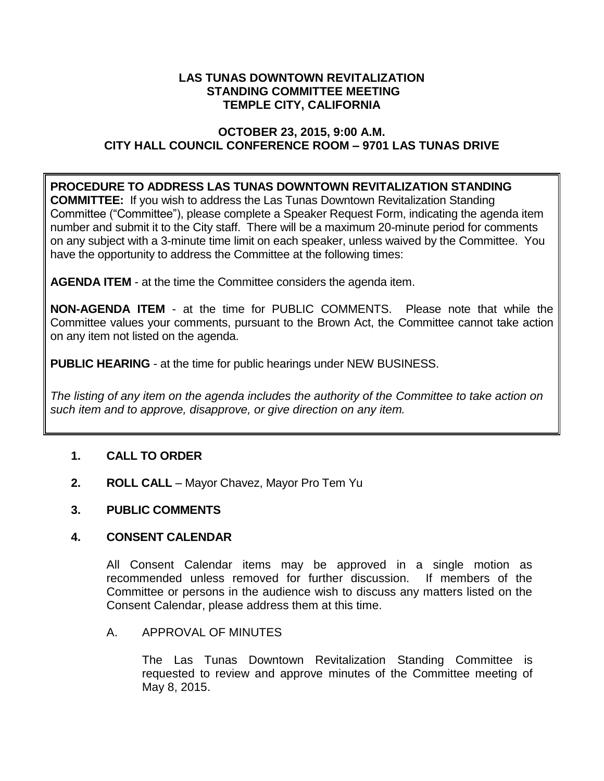## **LAS TUNAS DOWNTOWN REVITALIZATION STANDING COMMITTEE MEETING TEMPLE CITY, CALIFORNIA**

# **OCTOBER 23, 2015, 9:00 A.M. CITY HALL COUNCIL CONFERENCE ROOM – 9701 LAS TUNAS DRIVE**

# **PROCEDURE TO ADDRESS LAS TUNAS DOWNTOWN REVITALIZATION STANDING**

**COMMITTEE:** If you wish to address the Las Tunas Downtown Revitalization Standing Committee ("Committee"), please complete a Speaker Request Form, indicating the agenda item number and submit it to the City staff. There will be a maximum 20-minute period for comments on any subject with a 3-minute time limit on each speaker, unless waived by the Committee. You have the opportunity to address the Committee at the following times:

**AGENDA ITEM** - at the time the Committee considers the agenda item.

**NON-AGENDA ITEM** - at the time for PUBLIC COMMENTS. Please note that while the Committee values your comments, pursuant to the Brown Act, the Committee cannot take action on any item not listed on the agenda.

**PUBLIC HEARING** - at the time for public hearings under NEW BUSINESS.

*The listing of any item on the agenda includes the authority of the Committee to take action on such item and to approve, disapprove, or give direction on any item.*

# **1. CALL TO ORDER**

**2. ROLL CALL** – Mayor Chavez, Mayor Pro Tem Yu

## **3. PUBLIC COMMENTS**

## **4. CONSENT CALENDAR**

All Consent Calendar items may be approved in a single motion as recommended unless removed for further discussion. If members of the Committee or persons in the audience wish to discuss any matters listed on the Consent Calendar, please address them at this time.

## A. APPROVAL OF MINUTES

The Las Tunas Downtown Revitalization Standing Committee is requested to review and approve minutes of the Committee meeting of May 8, 2015.